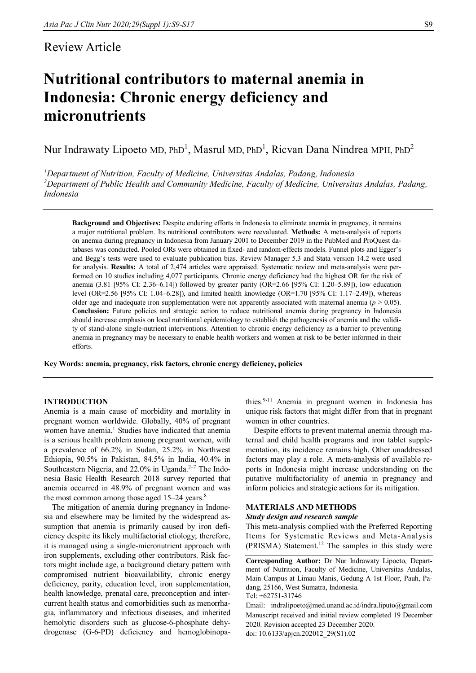# Review Article

# **Nutritional contributors to maternal anemia in Indonesia: Chronic energy deficiency and micronutrients**

Nur Indrawaty Lipoeto MD, PhD<sup>1</sup>, Masrul MD, PhD<sup>1</sup>, Ricvan Dana Nindrea MPH, PhD<sup>2</sup>

*<sup>1</sup>Department of Nutrition, Faculty of Medicine, Universitas Andalas, Padang, Indonesia <sup>2</sup>Department of Public Health and Community Medicine, Faculty of Medicine, Universitas Andalas, Padang, Indonesia*

**Background and Objectives:** Despite enduring efforts in Indonesia to eliminate anemia in pregnancy, it remains a major nutritional problem. Its nutritional contributors were reevaluated. **Methods:** A meta-analysis of reports on anemia during pregnancy in Indonesia from January 2001 to December 2019 in the PubMed and ProQuest databases was conducted. Pooled ORs were obtained in fixed- and random-effects models. Funnel plots and Egger's and Begg's tests were used to evaluate publication bias. Review Manager 5.3 and Stata version 14.2 were used for analysis. **Results:** A total of 2,474 articles were appraised. Systematic review and meta-analysis were performed on 10 studies including 4,077 participants. Chronic energy deficiency had the highest OR for the risk of anemia (3.81 [95% CI: 2.36–6.14]) followed by greater parity (OR=2.66 [95% CI: 1.20–5.89]), low education level (OR=2.56 [95% CI: 1.04–6.28]), and limited health knowledge (OR=1.70 [95% CI: 1.17–2.49]), whereas older age and inadequate iron supplementation were not apparently associated with maternal anemia ( $p > 0.05$ ). **Conclusion:** Future policies and strategic action to reduce nutritional anemia during pregnancy in Indonesia should increase emphasis on local nutritional epidemiology to establish the pathogenesis of anemia and the validity of stand-alone single-nutrient interventions. Attention to chronic energy deficiency as a barrier to preventing anemia in pregnancy may be necessary to enable health workers and women at risk to be better informed in their efforts.

**Key Words: anemia, pregnancy, risk factors, chronic energy deficiency, policies**

# **INTRODUCTION**

Anemia is a main cause of morbidity and mortality in pregnant women worldwide. Globally, 40% of pregnant women have anemia.<sup>1</sup> Studies have indicated that anemia is a serious health problem among pregnant women, with a prevalence of 66.2% in Sudan, 25.2% in Northwest Ethiopia, 90.5% in Pakistan, 84.5% in India, 40.4% in Southeastern Nigeria, and 22.0% in Uganda. $2^{-7}$  The Indonesia Basic Health Research 2018 survey reported that anemia occurred in 48.9% of pregnant women and was the most common among those aged  $15-24$  years.<sup>8</sup>

The mitigation of anemia during pregnancy in Indonesia and elsewhere may be limited by the widespread assumption that anemia is primarily caused by iron deficiency despite its likely multifactorial etiology; therefore, it is managed using a single-micronutrient approach with iron supplements, excluding other contributors. Risk factors might include age, a background dietary pattern with compromised nutrient bioavailability, chronic energy deficiency, parity, education level, iron supplementation, health knowledge, prenatal care, preconception and intercurrent health status and comorbidities such as menorrhagia, inflammatory and infectious diseases, and inherited hemolytic disorders such as glucose-6-phosphate dehydrogenase (G-6-PD) deficiency and hemoglobinopathies.9-11 Anemia in pregnant women in Indonesia has unique risk factors that might differ from that in pregnant women in other countries.

Despite efforts to prevent maternal anemia through maternal and child health programs and iron tablet supplementation, its incidence remains high. Other unaddressed factors may play a role. A meta-analysis of available reports in Indonesia might increase understanding on the putative multifactoriality of anemia in pregnancy and inform policies and strategic actions for its mitigation.

#### **MATERIALS AND METHODS**

#### *Study design and research sample*

This meta-analysis complied with the Preferred Reporting Items for Systematic Reviews and Meta-Analysis (PRISMA) Statement.<sup>12</sup> The samples in this study were

**Corresponding Author:** Dr Nur Indrawaty Lipoeto, Department of Nutrition, Faculty of Medicine, Universitas Andalas, Main Campus at Limau Manis, Gedung A 1st Floor, Pauh, Padang, 25166, West Sumatra, Indonesia.

Tel: +62751-31746

Email: indralipoeto@med.unand.ac.id/indra.liputo@gmail.com Manuscript received and initial review completed 19 December 2020. Revision accepted 23 December 2020. doi: 10.6133/apjcn.202012\_29(S1).02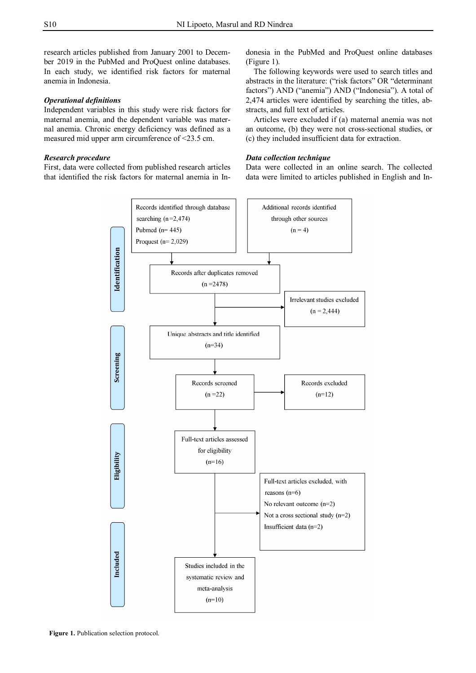research articles published from January 2001 to December 2019 in the PubMed and ProQuest online databases. In each study, we identified risk factors for maternal anemia in Indonesia.

# *Operational definitions*

Independent variables in this study were risk factors for maternal anemia, and the dependent variable was maternal anemia. Chronic energy deficiency was defined as a measured mid upper arm circumference of <23.5 cm.

# *Research procedure*

First, data were collected from published research articles that identified the risk factors for maternal anemia in Indonesia in the PubMed and ProQuest online databases (Figure 1).

The following keywords were used to search titles and abstracts in the literature: ("risk factors" OR "determinant factors") AND ("anemia") AND ("Indonesia"). A total of 2,474 articles were identified by searching the titles, abstracts, and full text of articles.

Articles were excluded if (a) maternal anemia was not an outcome, (b) they were not cross-sectional studies, or (c) they included insufficient data for extraction.

# *Data collection technique*

Data were collected in an online search. The collected data were limited to articles published in English and In-

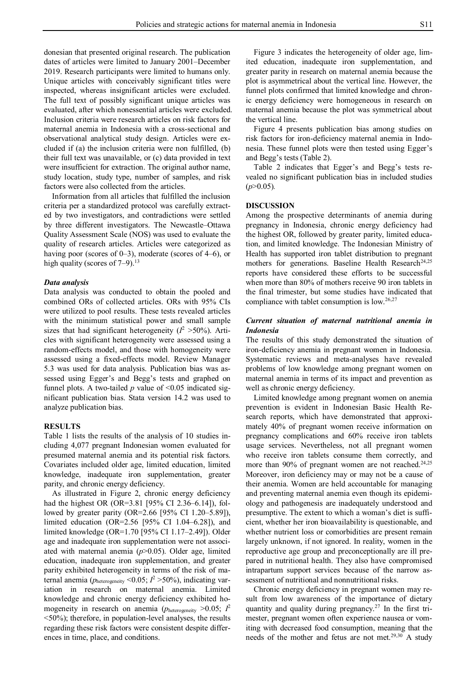donesian that presented original research. The publication dates of articles were limited to January 2001–December 2019. Research participants were limited to humans only. Unique articles with conceivably significant titles were inspected, whereas insignificant articles were excluded. The full text of possibly significant unique articles was evaluated, after which nonessential articles were excluded. Inclusion criteria were research articles on risk factors for maternal anemia in Indonesia with a cross-sectional and observational analytical study design. Articles were excluded if (a) the inclusion criteria were non fulfilled, (b) their full text was unavailable, or (c) data provided in text were insufficient for extraction. The original author name, study location, study type, number of samples, and risk factors were also collected from the articles.

Information from all articles that fulfilled the inclusion criteria per a standardized protocol was carefully extracted by two investigators, and contradictions were settled by three different investigators. The Newcastle–Ottawa Quality Assessment Scale (NOS) was used to evaluate the quality of research articles. Articles were categorized as having poor (scores of  $(0-3)$ , moderate (scores of  $(4-6)$ , or high quality (scores of 7–9).<sup>13</sup>

#### *Data analysis*

Data analysis was conducted to obtain the pooled and combined ORs of collected articles. ORs with 95% CIs were utilized to pool results. These tests revealed articles with the minimum statistical power and small sample sizes that had significant heterogeneity  $(I^2 > 50\%)$ . Articles with significant heterogeneity were assessed using a random-effects model, and those with homogeneity were assessed using a fixed-effects model. Review Manager 5.3 was used for data analysis. Publication bias was assessed using Egger's and Begg's tests and graphed on funnel plots. A two-tailed  $p$  value of <0.05 indicated significant publication bias. Stata version 14.2 was used to analyze publication bias.

#### **RESULTS**

Table 1 lists the results of the analysis of 10 studies including 4,077 pregnant Indonesian women evaluated for presumed maternal anemia and its potential risk factors. Covariates included older age, limited education, limited knowledge, inadequate iron supplementation, greater parity, and chronic energy deficiency.

As illustrated in Figure 2, chronic energy deficiency had the highest OR (OR=3.81 [95% CI 2.36–6.14]), followed by greater parity (OR=2.66 [95% CI 1.20–5.89]), limited education (OR=2.56 [95% CI 1.04–6.28]), and limited knowledge (OR=1.70 [95% CI 1.17–2.49]). Older age and inadequate iron supplementation were not associated with maternal anemia (*p*>0.05). Older age, limited education, inadequate iron supplementation, and greater parity exhibited heterogeneity in terms of the risk of maternal anemia (*p*heterogeneity <0.05; *I* <sup>2</sup> >50%), indicating variation in research on maternal anemia. Limited knowledge and chronic energy deficiency exhibited homogeneity in research on anemia (*p*heterogeneity >0.05; *I*<sup>2</sup> <50%); therefore, in population-level analyses, the results regarding these risk factors were consistent despite differences in time, place, and conditions.

Figure 3 indicates the heterogeneity of older age, limited education, inadequate iron supplementation, and greater parity in research on maternal anemia because the plot is asymmetrical about the vertical line. However, the funnel plots confirmed that limited knowledge and chronic energy deficiency were homogeneous in research on maternal anemia because the plot was symmetrical about the vertical line.

Figure 4 presents publication bias among studies on risk factors for iron-deficiency maternal anemia in Indonesia. These funnel plots were then tested using Egger's and Begg's tests (Table 2).

Table 2 indicates that Egger's and Begg's tests revealed no significant publication bias in included studies (*p*>0.05)*.*

#### **DISCUSSION**

Among the prospective determinants of anemia during pregnancy in Indonesia, chronic energy deficiency had the highest OR, followed by greater parity, limited education, and limited knowledge. The Indonesian Ministry of Health has supported iron tablet distribution to pregnant mothers for generations. Baseline Health Research<sup>24,25</sup> reports have considered these efforts to be successful when more than 80% of mothers receive 90 iron tablets in the final trimester, but some studies have indicated that compliance with tablet consumption is low.<sup>26,27</sup>

# *Current situation of maternal nutritional anemia in Indonesia*

The results of this study demonstrated the situation of iron-deficiency anemia in pregnant women in Indonesia. Systematic reviews and meta-analyses have revealed problems of low knowledge among pregnant women on maternal anemia in terms of its impact and prevention as well as chronic energy deficiency.

Limited knowledge among pregnant women on anemia prevention is evident in Indonesian Basic Health Research reports, which have demonstrated that approximately 40% of pregnant women receive information on pregnancy complications and 60% receive iron tablets usage services. Nevertheless, not all pregnant women who receive iron tablets consume them correctly, and more than 90% of pregnant women are not reached. $24,25$ Moreover, iron deficiency may or may not be a cause of their anemia. Women are held accountable for managing and preventing maternal anemia even though its epidemiology and pathogenesis are inadequately understood and presumptive. The extent to which a woman's diet is sufficient, whether her iron bioavailability is questionable, and whether nutrient loss or comorbidities are present remain largely unknown, if not ignored. In reality, women in the reproductive age group and preconceptionally are ill prepared in nutritional health. They also have compromised intrapartum support services because of the narrow assessment of nutritional and nonnutritional risks.

Chronic energy deficiency in pregnant women may result from low awareness of the importance of dietary quantity and quality during pregnancy.<sup>27</sup> In the first trimester, pregnant women often experience nausea or vomiting with decreased food consumption, meaning that the needs of the mother and fetus are not met.<sup>29,30</sup> A study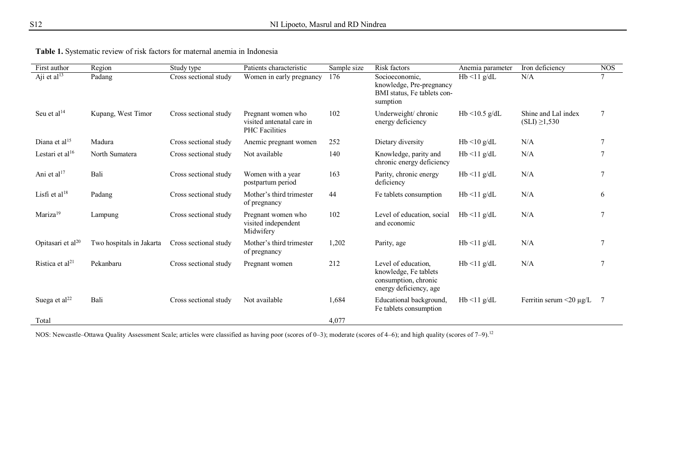|  |  |  |  |  | <b>Table 1.</b> Systematic review of risk factors for maternal anemia in Indonesia |
|--|--|--|--|--|------------------------------------------------------------------------------------|
|  |  |  |  |  |                                                                                    |

| First author                  | Region                   | Study type            | Patients characteristic                                                  | Sample size | Risk factors                                                                                   | Anemia parameter    | Iron deficiency                           | <b>NOS</b> |
|-------------------------------|--------------------------|-----------------------|--------------------------------------------------------------------------|-------------|------------------------------------------------------------------------------------------------|---------------------|-------------------------------------------|------------|
| Aji et al <sup>13</sup>       | Padang                   | Cross sectional study | Women in early pregnancy                                                 | 176         | Socioeconomic,<br>knowledge, Pre-pregnancy<br>BMI status, Fe tablets con-<br>sumption          | $Hb < 11$ g/dL      | N/A                                       | $\tau$     |
| Seu et al $^{14}$             | Kupang, West Timor       | Cross sectional study | Pregnant women who<br>visited antenatal care in<br><b>PHC</b> Facilities | 102         | Underweight/ chronic<br>energy deficiency                                                      | Hb $\leq$ 10.5 g/dL | Shine and Lal index<br>$(SLI) \geq 1,530$ | 7          |
| Diana et al $15$              | Madura                   | Cross sectional study | Anemic pregnant women                                                    | 252         | Dietary diversity                                                                              | $Hb < 10$ g/dL      | N/A                                       | 7          |
| Lestari et al $16$            | North Sumatera           | Cross sectional study | Not available                                                            | 140         | Knowledge, parity and<br>chronic energy deficiency                                             | $Hb < 11$ g/dL      | N/A                                       |            |
| Ani et al $17$                | Bali                     | Cross sectional study | Women with a year<br>postpartum period                                   | 163         | Parity, chronic energy<br>deficiency                                                           | $Hb < 11$ g/dL      | N/A                                       | 7          |
| Lisfi et al $18$              | Padang                   | Cross sectional study | Mother's third trimester<br>of pregnancy                                 | 44          | Fe tablets consumption                                                                         | $Hb < 11$ g/dL      | N/A                                       | 6          |
| Mariza <sup>19</sup>          | Lampung                  | Cross sectional study | Pregnant women who<br>visited independent<br>Midwifery                   | 102         | Level of education, social<br>and economic                                                     | $Hb < 11$ g/dL      | N/A                                       |            |
| Opitasari et al <sup>20</sup> | Two hospitals in Jakarta | Cross sectional study | Mother's third trimester<br>of pregnancy                                 | 1,202       | Parity, age                                                                                    | $Hb < 11$ g/dL      | N/A                                       |            |
| Ristica et al <sup>21</sup>   | Pekanbaru                | Cross sectional study | Pregnant women                                                           | 212         | Level of education,<br>knowledge, Fe tablets<br>consumption, chronic<br>energy deficiency, age | $Hb < 11$ g/dL      | N/A                                       |            |
| Suega et al <sup>22</sup>     | Bali                     | Cross sectional study | Not available                                                            | 1,684       | Educational background,<br>Fe tablets consumption                                              | $Hb < 11$ g/dL      | Ferritin serum $\leq$ 0 µg/L              | 7          |
| Total                         |                          |                       |                                                                          | 4,077       |                                                                                                |                     |                                           |            |

NOS: Newcastle–Ottawa Quality Assessment Scale; articles were classified as having poor (scores of 0–3); moderate (scores of 4–6); and high quality (scores of 7–9).<sup>12</sup>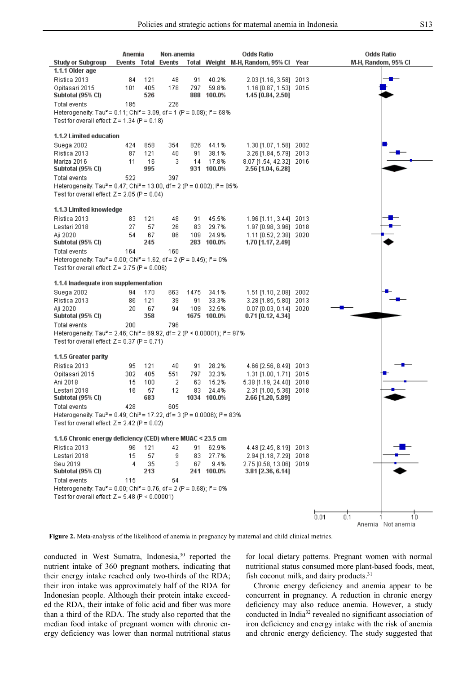|                                                                                                                                                              | Anemia              |            | Non-anemia |            |                      | Odds Ratio                                        |      | <b>Odds Ratio</b>               |  |  |
|--------------------------------------------------------------------------------------------------------------------------------------------------------------|---------------------|------------|------------|------------|----------------------|---------------------------------------------------|------|---------------------------------|--|--|
| <b>Study or Subgroup</b>                                                                                                                                     | Events Total Events |            |            |            |                      | Total Weight M-H, Random, 95% Cl                  | Year | M-H, Random, 95% CI             |  |  |
| 1.1.1 Older age                                                                                                                                              |                     |            |            |            |                      |                                                   |      |                                 |  |  |
| Ristica 2013                                                                                                                                                 | 84                  | 121        | 48         | 91         | 40.2%                | 2.03 [1.16, 3.58] 2013                            |      |                                 |  |  |
| Opitasari 2015<br>Subtotal (95% CI)                                                                                                                          | 101                 | 405<br>526 | 178        | 797<br>888 | 59.8%<br>100.0%      | 1.16 [0.87, 1.53] 2015<br>1.45 [0.84, 2.50]       |      |                                 |  |  |
| Total events                                                                                                                                                 | 185                 |            | 226        |            |                      |                                                   |      |                                 |  |  |
| Heterogeneity: Tau <sup>2</sup> = 0.11; Chi <sup>2</sup> = 3.09, df = 1 (P = 0.08); l <sup>2</sup> = 68%<br>Test for overall effect: $Z = 1.34$ (P = 0.18)   |                     |            |            |            |                      |                                                   |      |                                 |  |  |
| 1.1.2 Limited education                                                                                                                                      |                     |            |            |            |                      |                                                   |      |                                 |  |  |
| Suega 2002                                                                                                                                                   | 424                 | 858        | 354        | 826        | 44.1%                | 1.30 [1.07, 1.58] 2002                            |      |                                 |  |  |
| Ristica 2013                                                                                                                                                 | 87                  | 121        | 40         | 91         | 38.1%                | 3.26 [1.84, 5.79] 2013                            |      |                                 |  |  |
| Mariza 2016<br>Subtotal (95% CI)                                                                                                                             | 11                  | 16<br>995  | 3          | 14         | 17.8%<br>931 100.0%  | 8.07 [1.54, 42.32]<br>2.56 [1.04, 6.28]           | 2016 |                                 |  |  |
| Total events                                                                                                                                                 | 522                 |            | 397        |            |                      |                                                   |      |                                 |  |  |
| Heterogeneity: Tau <sup>2</sup> = 0.47; Chi <sup>2</sup> = 13.00, df = 2 (P = 0.002); l <sup>2</sup> = 85%                                                   |                     |            |            |            |                      |                                                   |      |                                 |  |  |
| Test for overall effect: $Z = 2.05$ (P = 0.04)                                                                                                               |                     |            |            |            |                      |                                                   |      |                                 |  |  |
|                                                                                                                                                              |                     |            |            |            |                      |                                                   |      |                                 |  |  |
| 1.1.3 Limited knowledge                                                                                                                                      |                     |            |            |            |                      |                                                   |      |                                 |  |  |
| Ristica 2013                                                                                                                                                 | 83                  | 121        | 48         | 91         | 45.5%                | 1.96 [1.11, 3.44] 2013                            |      |                                 |  |  |
| Lestari 2018                                                                                                                                                 | 27                  | 57         | 26         | 83         | 29.7%                | 1.97 [0.98, 3.96] 2018                            |      |                                 |  |  |
| Aji 2020                                                                                                                                                     | 54                  | 67         | 86         | 109        | 24.9%                | 1.11 [0.52, 2.38] 2020                            |      |                                 |  |  |
| Subtotal (95% CI)                                                                                                                                            |                     | 245        |            |            | 283 100.0%           | 1.70 [1.17, 2.49]                                 |      |                                 |  |  |
| Total events                                                                                                                                                 | 164                 |            | 160        |            |                      |                                                   |      |                                 |  |  |
| Heterogeneity: Tau <sup>2</sup> = 0.00; Chi <sup>2</sup> = 1.62, df = 2 (P = 0.45); $P = 0\%$                                                                |                     |            |            |            |                      |                                                   |      |                                 |  |  |
| Test for overall effect: $Z = 2.75$ (P = 0.006)                                                                                                              |                     |            |            |            |                      |                                                   |      |                                 |  |  |
| 1.1.4 Inadequate iron supplementation                                                                                                                        |                     |            |            |            |                      |                                                   |      |                                 |  |  |
| Suega 2002                                                                                                                                                   | 94                  | 170        | 663        | 1475       | 34.1%                | 1.51 [1.10, 2.08] 2002                            |      |                                 |  |  |
| Ristica 2013                                                                                                                                                 | 86                  | 121        | 39         | 91         | 33.3%                | $3.28$ [1.85, 5.80]                               | 2013 |                                 |  |  |
| Aji 2020                                                                                                                                                     | 20                  | 67         | 94         | 109        | 32.5%                | $0.07$ [0.03, 0.14]                               | 2020 |                                 |  |  |
| Subtotal (95% CI)                                                                                                                                            |                     | 358        |            |            | 1675 100.0%          | 0.71 [0.12, 4.34]                                 |      |                                 |  |  |
| Total events                                                                                                                                                 | 200                 |            | 796        |            |                      |                                                   |      |                                 |  |  |
| Heterogeneity: Tau <sup>2</sup> = 2.46; Chi <sup>2</sup> = 69.92, df = 2 (P < 0.00001); $P = 97\%$                                                           |                     |            |            |            |                      |                                                   |      |                                 |  |  |
| Test for overall effect: $Z = 0.37$ (P = 0.71)                                                                                                               |                     |            |            |            |                      |                                                   |      |                                 |  |  |
|                                                                                                                                                              |                     |            |            |            |                      |                                                   |      |                                 |  |  |
| 1.1.5 Greater parity                                                                                                                                         |                     |            |            |            |                      |                                                   |      |                                 |  |  |
| Ristica 2013                                                                                                                                                 | 95                  | 121        | 40         | 91         | 28.2%                | 4.66 [2.56, 8.49] 2013                            |      |                                 |  |  |
| Opitasari 2015                                                                                                                                               | 302                 | 405        | 551        | 797        | 32.3%                | 1.31 [1.00, 1.71] 2015                            |      |                                 |  |  |
| Ani 2018                                                                                                                                                     | 15                  | 100        | 2          | 63         | 15.2%                | 5.38 [1.19, 24.40] 2018                           |      |                                 |  |  |
| Lestari 2018                                                                                                                                                 | 16                  | 57         | 12         | 83         | 24.4%<br>1034 100.0% | 2.31 [1.00, 5.36]                                 | 2018 |                                 |  |  |
| Subtotal (95% Cl)                                                                                                                                            | 428                 | 683        | 605        |            |                      | 2.66 [1.20, 5.89]                                 |      |                                 |  |  |
| Total events<br>Heterogeneity: Tau <sup>2</sup> = 0.49; Chi <sup>2</sup> = 17.22, df = 3 (P = 0.0006); $P = 83\%$                                            |                     |            |            |            |                      |                                                   |      |                                 |  |  |
| Test for overall effect: $Z = 2.42$ (P = 0.02)                                                                                                               |                     |            |            |            |                      |                                                   |      |                                 |  |  |
| 1.1.6 Chronic energy deficiency (CED) where MUAC < 23.5 cm                                                                                                   |                     |            |            |            |                      |                                                   |      |                                 |  |  |
| Ristica 2013                                                                                                                                                 |                     |            |            |            |                      | 4.48 [2.45, 8.19] 2013                            |      |                                 |  |  |
| Lestari 2018                                                                                                                                                 | 96<br>15            | 121        | 42         | 91<br>83   | 62.9%                |                                                   |      |                                 |  |  |
| Seu 2019                                                                                                                                                     | 4                   | 57<br>35   | 9<br>3     | 67         | 27.7%<br>9.4%        | 2.94 [1.18, 7.29] 2018<br>2.75 [0.58, 13.06] 2019 |      |                                 |  |  |
| Subtotal (95% CI)                                                                                                                                            |                     | 213        |            |            | 241 100.0%           | 3.81 [2.36, 6.14]                                 |      |                                 |  |  |
| Total events                                                                                                                                                 | 115                 |            | 54         |            |                      |                                                   |      |                                 |  |  |
|                                                                                                                                                              |                     |            |            |            |                      |                                                   |      |                                 |  |  |
| Heterogeneity: Tau <sup>2</sup> = 0.00; Chi <sup>2</sup> = 0.76, df = 2 (P = 0.68); l <sup>2</sup> = 0%<br>Test for overall effect: $Z = 5.48$ (P < 0.00001) |                     |            |            |            |                      |                                                   |      |                                 |  |  |
|                                                                                                                                                              |                     |            |            |            |                      |                                                   |      |                                 |  |  |
|                                                                                                                                                              |                     |            |            |            |                      |                                                   |      | 0.1                             |  |  |
|                                                                                                                                                              |                     |            |            |            |                      |                                                   |      | 0.01<br>10<br>Anemia Not anemia |  |  |
|                                                                                                                                                              |                     |            |            |            |                      |                                                   |      |                                 |  |  |

**Figure 2.** Meta-analysis of the likelihood of anemia in pregnancy by maternal and child clinical metrics.

conducted in West Sumatra, Indonesia,<sup>30</sup> reported the nutrient intake of 360 pregnant mothers, indicating that their energy intake reached only two-thirds of the RDA; their iron intake was approximately half of the RDA for Indonesian people. Although their protein intake exceeded the RDA, their intake of folic acid and fiber was more than a third of the RDA. The study also reported that the median food intake of pregnant women with chronic energy deficiency was lower than normal nutritional status

for local dietary patterns. Pregnant women with normal nutritional status consumed more plant-based foods, meat, fish coconut milk, and dairy products. $31$ 

Chronic energy deficiency and anemia appear to be concurrent in pregnancy. A reduction in chronic energy deficiency may also reduce anemia. However, a study conducted in India <sup>32</sup> revealed no significant association of iron deficiency and energy intake with the risk of anemia and chronic energy deficiency. The study suggested that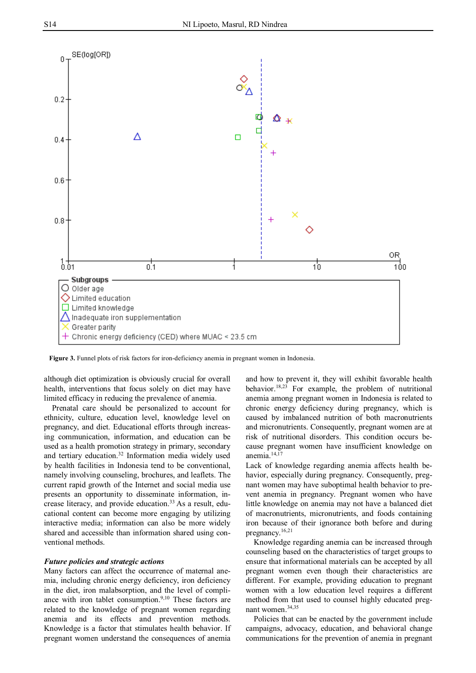

**Figure 3.** Funnel plots of risk factors for iron-deficiency anemia in pregnant women in Indonesia.

although diet optimization is obviously crucial for overall health, interventions that focus solely on diet may have limited efficacy in reducing the prevalence of anemia.

Prenatal care should be personalized to account for ethnicity, culture, education level, knowledge level on pregnancy, and diet. Educational efforts through increasing communication, information, and education can be used as a health promotion strategy in primary, secondary and tertiary education.<sup>32</sup> Information media widely used by health facilities in Indonesia tend to be conventional, namely involving counseling, brochures, and leaflets. The current rapid growth of the Internet and social media use presents an opportunity to disseminate information, increase literacy, and provide education.33 As a result, educational content can become more engaging by utilizing interactive media; information can also be more widely shared and accessible than information shared using conventional methods.

# *Future policies and strategic actions*

Many factors can affect the occurrence of maternal anemia, including chronic energy deficiency, iron deficiency in the diet, iron malabsorption, and the level of compliance with iron tablet consumption.<sup>9,10</sup> These factors are related to the knowledge of pregnant women regarding anemia and its effects and prevention methods. Knowledge is a factor that stimulates health behavior. If pregnant women understand the consequences of anemia

and how to prevent it, they will exhibit favorable health behavior.<sup>18,23</sup> For example, the problem of nutritional anemia among pregnant women in Indonesia is related to chronic energy deficiency during pregnancy, which is caused by imbalanced nutrition of both macronutrients and micronutrients. Consequently, pregnant women are at risk of nutritional disorders. This condition occurs because pregnant women have insufficient knowledge on anemia.14,17

Lack of knowledge regarding anemia affects health behavior, especially during pregnancy. Consequently, pregnant women may have suboptimal health behavior to prevent anemia in pregnancy. Pregnant women who have little knowledge on anemia may not have a balanced diet of macronutrients, micronutrients, and foods containing iron because of their ignorance both before and during pregnancy.16,21

Knowledge regarding anemia can be increased through counseling based on the characteristics of target groups to ensure that informational materials can be accepted by all pregnant women even though their characteristics are different. For example, providing education to pregnant women with a low education level requires a different method from that used to counsel highly educated pregnant women.34,35

Policies that can be enacted by the government include campaigns, advocacy, education, and behavioral change communications for the prevention of anemia in pregnant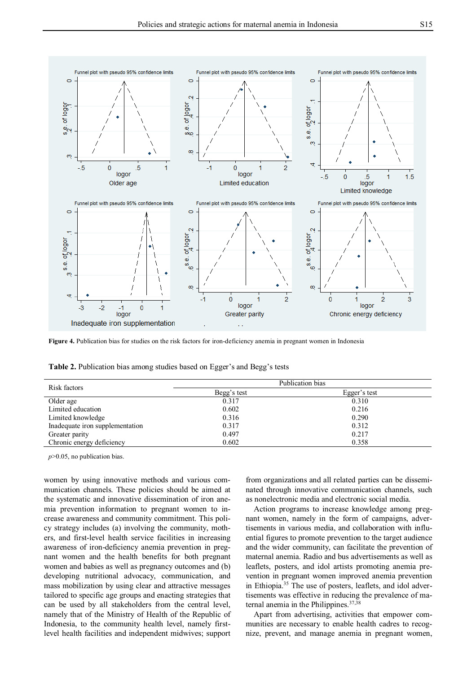

**Figure 4.** Publication bias for studies on the risk factors for iron-deficiency anemia in pregnant women in Indonesia

**Table 2.** Publication bias among studies based on Egger's and Begg's tests

| Risk factors                    | Publication bias |              |  |  |  |  |  |
|---------------------------------|------------------|--------------|--|--|--|--|--|
|                                 | Begg's test      | Egger's test |  |  |  |  |  |
| Older age                       | 0.317            | 0.310        |  |  |  |  |  |
| Limited education               | 0.602            | 0.216        |  |  |  |  |  |
| Limited knowledge               | 0.316            | 0.290        |  |  |  |  |  |
| Inadequate iron supplementation | 0.317            | 0.312        |  |  |  |  |  |
| Greater parity                  | 0.497            | 0.217        |  |  |  |  |  |
| Chronic energy deficiency       | 0.602            | 0.358        |  |  |  |  |  |

*p*>0.05, no publication bias.

women by using innovative methods and various communication channels. These policies should be aimed at the systematic and innovative dissemination of iron anemia prevention information to pregnant women to increase awareness and community commitment. This policy strategy includes (a) involving the community, mothers, and first-level health service facilities in increasing awareness of iron-deficiency anemia prevention in pregnant women and the health benefits for both pregnant women and babies as well as pregnancy outcomes and (b) developing nutritional advocacy, communication, and mass mobilization by using clear and attractive messages tailored to specific age groups and enacting strategies that can be used by all stakeholders from the central level, namely that of the Ministry of Health of the Republic of Indonesia, to the community health level, namely firstlevel health facilities and independent midwives; support

from organizations and all related parties can be disseminated through innovative communication channels, such as nonelectronic media and electronic social media.

Action programs to increase knowledge among pregnant women, namely in the form of campaigns, advertisements in various media, and collaboration with influential figures to promote prevention to the target audience and the wider community, can facilitate the prevention of maternal anemia. Radio and bus advertisements as well as leaflets, posters, and idol artists promoting anemia prevention in pregnant women improved anemia prevention in Ethiopia.<sup>35</sup> The use of posters, leaflets, and idol advertisements was effective in reducing the prevalence of maternal anemia in the Philippines.<sup>37,38</sup>

Apart from advertising, activities that empower communities are necessary to enable health cadres to recognize, prevent, and manage anemia in pregnant women,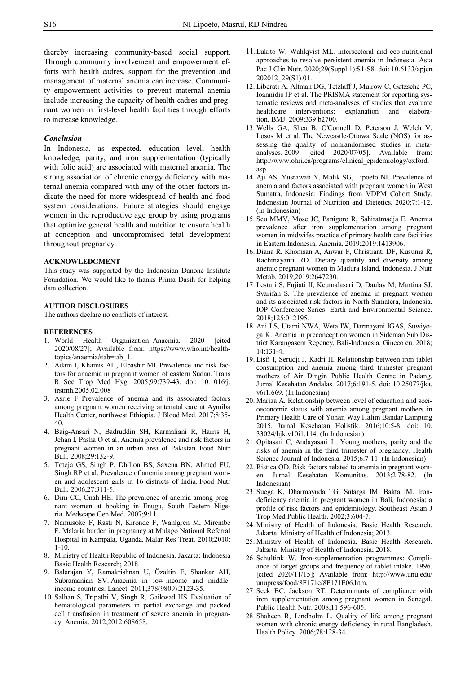thereby increasing community-based social support. Through community involvement and empowerment efforts with health cadres, support for the prevention and management of maternal anemia can increase. Community empowerment activities to prevent maternal anemia include increasing the capacity of health cadres and pregnant women in first-level health facilities through efforts to increase knowledge.

# *Conclusion*

In Indonesia, as expected, education level, health knowledge, parity, and iron supplementation (typically with folic acid) are associated with maternal anemia. The strong association of chronic energy deficiency with maternal anemia compared with any of the other factors indicate the need for more widespread of health and food system considerations. Future strategies should engage women in the reproductive age group by using programs that optimize general health and nutrition to ensure health at conception and uncompromised fetal development throughout pregnancy.

#### **ACKNOWLEDGMENT**

This study was supported by the Indonesian Danone Institute Foundation. We would like to thanks Prima Dasih for helping data collection.

#### **AUTHOR DISCLOSURES**

The authors declare no conflicts of interest.

# **REFERENCES**

- 1. World Health Organization. Anaemia. 2020 [cited 2020/08/27]; Available from: https://www.who.int/healthtopics/anaemia#tab=tab\_1.
- 2. Adam I, Khamis AH, Elbashir MI. Prevalence and risk factors for anaemia in pregnant women of eastern Sudan. Trans R Soc Trop Med Hyg. 2005;99:739-43. doi: 10.1016/j. trstmh.2005.02.008
- 3. Asrie F. Prevalence of anemia and its associated factors among pregnant women receiving antenatal care at Aymiba Health Center, northwest Ethiopia. J Blood Med. 2017;8:35- 40.
- 4. Baig-Ansari N, Badruddin SH, Karmaliani R, Harris H, Jehan I, Pasha O et al. Anemia prevalence and risk factors in pregnant women in an urban area of Pakistan. Food Nutr Bull. 2008;29:132-9.
- 5. Toteja GS, Singh P, Dhillon BS, Saxena BN, Ahmed FU, Singh RP et al. Prevalence of anemia among pregnant women and adolescent girls in 16 districts of India. Food Nutr Bull. 2006;27:311-5.
- 6. Dim CC, Onah HE. The prevalence of anemia among pregnant women at booking in Enugu, South Eastern Nigeria. Medscape Gen Med. 2007;9:11.
- 7. Namusoke F, Rasti N, Kironde F, Wahlgren M, Mirembe F. Malaria burden in pregnancy at Mulago National Referral Hospital in Kampala, Uganda. Malar Res Treat. 2010;2010: 1-10.
- 8. Ministry of Health Republic of Indonesia. Jakarta: Indonesia Basic Health Research; 2018.
- 9. Balarajan Y, Ramakrishnan U, Özaltin E, Shankar AH, Subramanian SV. Anaemia in low-income and middleincome countries. Lancet. 2011;378(9809):2123-35.
- 10. Salhan S, Tripathi V, Singh R, Gaikwad HS. Evaluation of hematological parameters in partial exchange and packed cell transfusion in treatment of severe anemia in pregnancy. Anemia. 2012;2012:608658.
- 11.Lukito W, Wahlqvist ML. Intersectoral and eco-nutritional approaches to resolve persistent anemia in Indonesia. Asia Pac J Clin Nutr. 2020;29(Suppl 1):S1-S8. doi: 10.6133/apjcn. 202012\_29(S1).01.
- 12. Liberati A, Altman DG, Tetzlaff J, Mulrow C, Gøtzsche PC, Ioannidis JP et al. The PRISMA statement for reporting systematic reviews and meta-analyses of studies that evaluate healthcare interventions: explanation and elaboration. BMJ. 2009;339:b2700.
- 13. Wells GA, Shea B, O'Connell D, Peterson J, Welch V, Losos M et al. The Newcastle-Ottawa Scale (NOS) for assessing the quality of nonrandomised studies in metaanalyses. 2009 [cited 2020/07/05]. Available from: http://www.ohri.ca/programs/clinical\_epidemiology/oxford. asp
- 14. Aji AS, Yusrawati Y, Malik SG, Lipoeto NI. Prevalence of anemia and factors associated with pregnant women in West Sumatra, Indonesia: Findings from VDPM Cohort Study. Indonesian Journal of Nutrition and Dietetics. 2020;7:1-12. (In Indonesian)
- 15. Seu MMV, Mose JC, Panigoro R, Sahiratmadja E. Anemia prevalence after iron supplementation among pregnant women in midwifes practice of primary health care facilities in Eastern Indonesia. Anemia. 2019;2019:1413906.
- 16. Diana R, Khomsan A, Anwar F, Christianti DF, Kusuma R, Rachmayanti RD. Dietary quantity and diversity among anemic pregnant women in Madura Island, Indonesia. J Nutr Metab. 2019;2019:2647230.
- 17. Lestari S, Fujiati II, Keumalasari D, Daulay M, Martina SJ, Syarifah S. The prevalence of anemia in pregnant women and its associated risk factors in North Sumatera, Indonesia. IOP Conference Series: Earth and Environmental Science. 2018;125:012195.
- 18. Ani LS, Utami NWA, Weta IW, Darmayani IGAS, Suwiyoga K. Anemia in preconception women in Sideman Sub District Karangasem Regency, Bali-Indonesia. Gineco eu. 2018; 14:131-4.
- 19. Lisfi I, Serudji J, Kadri H. Relationship between iron tablet consumption and anemia among third trimester pregnant mothers of Air Dingin Public Health Centre in Padang. Jurnal Kesehatan Andalas. 2017;6:191-5. doi: 10.25077/jka. v6i1.669. (In Indonesian)
- 20. Mariza A. Relationship between level of education and socioeconomic status with anemia among pregnant mothers in Primary Health Care of Yohan Way Halim Bandar Lampung 2015. Jurnal Kesehatan Holistik. 2016;10:5-8. doi: 10. 33024/hjk.v10i1.114. (In Indonesian)
- 21. Opitasari C, Andayasari L. Young mothers, parity and the risks of anemia in the third trimester of pregnancy. Health Science Journal of Indonesia. 2015;6:7-11. (In Indonesian)
- 22. Ristica OD. Risk factors related to anemia in pregnant women. Jurnal Kesehatan Komunitas. 2013;2:78-82. (In Indonesian)
- 23. Suega K, Dharmayuda TG, Sutarga IM, Bakta IM. Irondeficiency anemia in pregnant women in Bali, Indonesia: a profile of risk factors and epidemiology. Southeast Asian J Trop Med Public Health. 2002;3:604-7.
- 24. Ministry of Health of Indonesia. Basic Health Research. Jakarta: Ministry of Health of Indonesia; 2013.
- 25. Ministry of Health of Indonesia. Basic Health Research. Jakarta: Ministry of Health of Indonesia; 2018.
- 26. Schultink W. Iron-supplementation programmes: Compliance of target groups and frequency of tablet intake. 1996. [cited 2020/11/15]; Available from: http://www.unu.edu/ unupress/food/8F171e/8F171E06.htm.
- 27. Seck BC, Jackson RT. Determinants of compliance with iron supplementation among pregnant women in Senegal. Public Health Nutr. 2008;11:596-605.
- 28. Shaheen R, Lindholm L. Quality of life among pregnant women with chronic energy deficiency in rural Bangladesh. Health Policy. 2006;78:128-34.